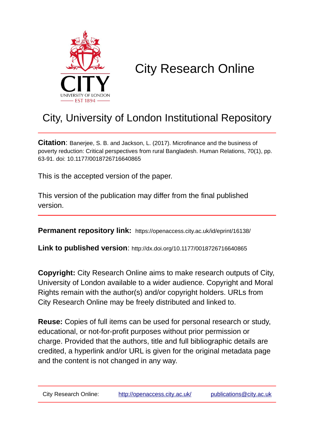

# City Research Online

# City, University of London Institutional Repository

**Citation**: Banerjee, S. B. and Jackson, L. (2017). Microfinance and the business of poverty reduction: Critical perspectives from rural Bangladesh. Human Relations, 70(1), pp. 63-91. doi: 10.1177/0018726716640865

This is the accepted version of the paper.

This version of the publication may differ from the final published version.

**Permanent repository link:** https://openaccess.city.ac.uk/id/eprint/16138/

**Link to published version**: http://dx.doi.org/10.1177/0018726716640865

**Copyright:** City Research Online aims to make research outputs of City, University of London available to a wider audience. Copyright and Moral Rights remain with the author(s) and/or copyright holders. URLs from City Research Online may be freely distributed and linked to.

**Reuse:** Copies of full items can be used for personal research or study, educational, or not-for-profit purposes without prior permission or charge. Provided that the authors, title and full bibliographic details are credited, a hyperlink and/or URL is given for the original metadata page and the content is not changed in any way.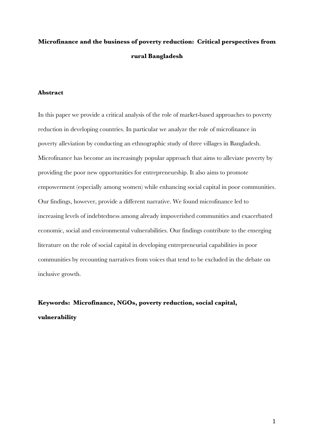## **Microfinance and the business of poverty reduction: Critical perspectives from rural Bangladesh**

#### **Abstract**

In this paper we provide a critical analysis of the role of market-based approaches to poverty reduction in developing countries. In particular we analyze the role of microfinance in poverty alleviation by conducting an ethnographic study of three villages in Bangladesh. Microfinance has become an increasingly popular approach that aims to alleviate poverty by providing the poor new opportunities for entrepreneurship. It also aims to promote empowerment (especially among women) while enhancing social capital in poor communities. Our findings, however, provide a different narrative. We found microfinance led to increasing levels of indebtedness among already impoverished communities and exacerbated economic, social and environmental vulnerabilities. Our findings contribute to the emerging literature on the role of social capital in developing entrepreneurial capabilities in poor communities by recounting narratives from voices that tend to be excluded in the debate on inclusive growth.

# **Keywords: Microfinance, NGOs, poverty reduction, social capital, vulnerability**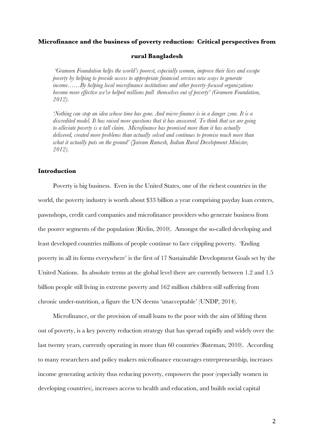#### **Microfinance and the business of poverty reduction: Critical perspectives from**

#### **rural Bangladesh**

*'Grameen Foundation helps the world's poorest, especially women, improve their lives and escape poverty by helping to provide access to appropriate financial services new ways to generate income……By helping local microfinance institutions and other poverty-focused organizations become more effective we've helped millions pull themselves out of poverty' (Grameen Foundation, 2012).*

*'Nothing can stop an idea whose time has gone. And micro-finance is in a danger zone. It is a discredited model. It has raised more questions that it has answered. To think that we are going to alleviate poverty is a tall claim. Microfinance has promised more than it has actually delivered, created more problems than actually solved and continues to promise much more than what it actually puts on the ground' (Jairam Ramesh, Indian Rural Development Minister, 2012).*

### **Introduction**

Poverty is big business. Even in the United States, one of the richest countries in the world, the poverty industry is worth about \$33 billion a year comprising payday loan centers, pawnshops, credit card companies and microfinance providers who generate business from the poorer segments of the population (Rivlin, 2010). Amongst the so-called developing and least developed countries millions of people continue to face crippling poverty. 'Ending poverty in all its forms everywhere' is the first of 17 Sustainable Development Goals set by the United Nations. In absolute terms at the global level there are currently between 1.2 and 1.5 billion people still living in extreme poverty and 162 million children still suffering from chronic under-nutrition, a figure the UN deems 'unacceptable' (UNDP, 2014).

Microfinance, or the provision of small loans to the poor with the aim of lifting them out of poverty, is a key poverty reduction strategy that has spread rapidly and widely over the last twenty years, currently operating in more than 60 countries (Bateman, 2010). According to many researchers and policy makers microfinance encourages entrepreneurship, increases income generating activity thus reducing poverty, empowers the poor (especially women in developing countries), increases access to health and education, and builds social capital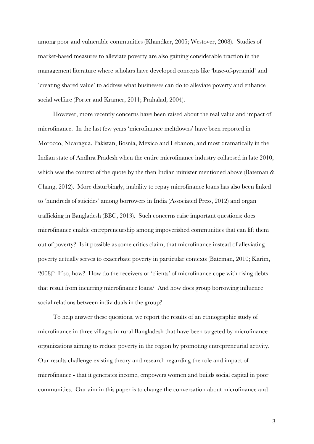among poor and vulnerable communities (Khandker, 2005; Westover, 2008). Studies of market-based measures to alleviate poverty are also gaining considerable traction in the management literature where scholars have developed concepts like 'base-of-pyramid' and 'creating shared value' to address what businesses can do to alleviate poverty and enhance social welfare (Porter and Kramer, 2011; Prahalad, 2004).

However, more recently concerns have been raised about the real value and impact of microfinance. In the last few years 'microfinance meltdowns' have been reported in Morocco, Nicaragua, Pakistan, Bosnia, Mexico and Lebanon, and most dramatically in the Indian state of Andhra Pradesh when the entire microfinance industry collapsed in late 2010, which was the context of the quote by the then Indian minister mentioned above (Bateman & Chang, 2012). More disturbingly, inability to repay microfinance loans has also been linked to 'hundreds of suicides' among borrowers in India (Associated Press, 2012) and organ trafficking in Bangladesh (BBC, 2013). Such concerns raise important questions: does microfinance enable entrepreneurship among impoverished communities that can lift them out of poverty? Is it possible as some critics claim, that microfinance instead of alleviating poverty actually serves to exacerbate poverty in particular contexts (Bateman, 2010; Karim, 2008)? If so, how? How do the receivers or 'clients' of microfinance cope with rising debts that result from incurring microfinance loans? And how does group borrowing influence social relations between individuals in the group?

To help answer these questions, we report the results of an ethnographic study of microfinance in three villages in rural Bangladesh that have been targeted by microfinance organizations aiming to reduce poverty in the region by promoting entrepreneurial activity. Our results challenge existing theory and research regarding the role and impact of microfinance - that it generates income, empowers women and builds social capital in poor communities. Our aim in this paper is to change the conversation about microfinance and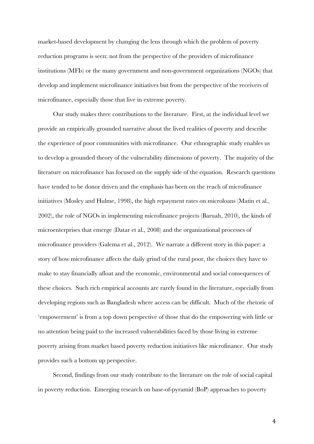market-based development by changing the lens through which the problem of poverty reduction programs is seen: not from the perspective of the providers of microfinance institutions (MFIs) or the many government and non-government organizations (NGOs) that develop and implement microfinance initiatives but from the perspective of the receivers of microfinance, especially those that live in extreme poverty.

Our study makes three contributions to the literature. First, at the individual level we provide an empirically grounded narrative about the lived realities of poverty and describe the experience of poor communities with microfinance. Our ethnographic study enables us to develop a grounded theory of the vulnerability dimensions of poverty. The majority of the literature on microfinance has focused on the supply side of the equation. Research questions have tended to be donor driven and the emphasis has been on the reach of microfinance initiatives (Mosley and Hulme, 1998), the high repayment rates on microloans (Matin et al., 2002), the role of NGOs in implementing microfinance projects (Baruah, 2010), the kinds of microenterprises that emerge (Datar et al., 2008) and the organizational processes of microfinance providers (Galema et al., 2012). We narrate a different story in this paper: a story of how microfinance affects the daily grind of the rural poor, the choices they have to make to stay financially afloat and the economic, environmental and social consequences of these choices. Such rich empirical accounts are rarely found in the literature, especially from developing regions such as Bangladesh where access can be difficult. Much of the rhetoric of 'empowerment' is from a top down perspective of those that do the empowering with little or no attention being paid to the increased vulnerabilities faced by those living in extreme poverty arising from market based poverty reduction initiatives like microfinance. Our study provides such a bottom up perspective.

Second, findings from our study contribute to the literature on the role of social capital in poverty reduction. Emerging research on base-of-pyramid (BoP) approaches to poverty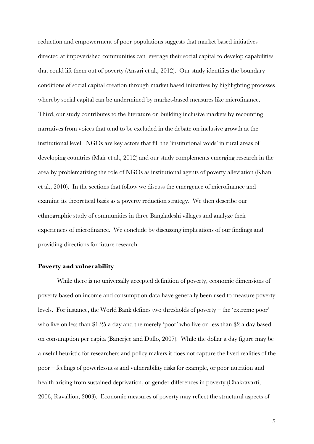reduction and empowerment of poor populations suggests that market based initiatives directed at impoverished communities can leverage their social capital to develop capabilities that could lift them out of poverty (Ansari et al., 2012). Our study identifies the boundary conditions of social capital creation through market based initiatives by highlighting processes whereby social capital can be undermined by market-based measures like microfinance. Third, our study contributes to the literature on building inclusive markets by recounting narratives from voices that tend to be excluded in the debate on inclusive growth at the institutional level. NGOs are key actors that fill the 'institutional voids' in rural areas of developing countries (Mair et al., 2012) and our study complements emerging research in the area by problematizing the role of NGOs as institutional agents of poverty alleviation (Khan et al., 2010). In the sections that follow we discuss the emergence of microfinance and examine its theoretical basis as a poverty reduction strategy. We then describe our ethnographic study of communities in three Bangladeshi villages and analyze their experiences of microfinance. We conclude by discussing implications of our findings and providing directions for future research.

#### **Poverty and vulnerability**

While there is no universally accepted definition of poverty, economic dimensions of poverty based on income and consumption data have generally been used to measure poverty levels. For instance, the World Bank defines two thresholds of poverty – the 'extreme poor' who live on less than \$1.25 a day and the merely 'poor' who live on less than \$2 a day based on consumption per capita (Banerjee and Duflo, 2007). While the dollar a day figure may be a useful heuristic for researchers and policy makers it does not capture the lived realities of the poor – feelings of powerlessness and vulnerability risks for example, or poor nutrition and health arising from sustained deprivation, or gender differences in poverty (Chakravarti, 2006; Ravallion, 2003). Economic measures of poverty may reflect the structural aspects of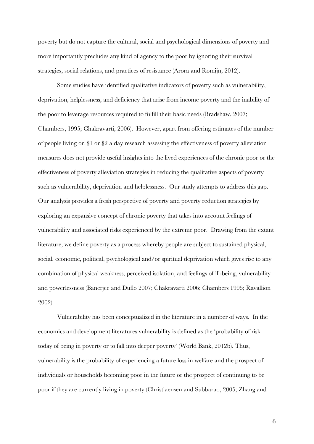poverty but do not capture the cultural, social and psychological dimensions of poverty and more importantly precludes any kind of agency to the poor by ignoring their survival strategies, social relations, and practices of resistance (Arora and Romijn, 2012).

Some studies have identified qualitative indicators of poverty such as vulnerability, deprivation, helplessness, and deficiency that arise from income poverty and the inability of the poor to leverage resources required to fulfill their basic needs (Bradshaw, 2007; Chambers, 1995; Chakravarti, 2006). However, apart from offering estimates of the number of people living on \$1 or \$2 a day research assessing the effectiveness of poverty alleviation measures does not provide useful insights into the lived experiences of the chronic poor or the effectiveness of poverty alleviation strategies in reducing the qualitative aspects of poverty such as vulnerability, deprivation and helplessness. Our study attempts to address this gap. Our analysis provides a fresh perspective of poverty and poverty reduction strategies by exploring an expansive concept of chronic poverty that takes into account feelings of vulnerability and associated risks experienced by the extreme poor. Drawing from the extant literature, we define poverty as a process whereby people are subject to sustained physical, social, economic, political, psychological and/or spiritual deprivation which gives rise to any combination of physical weakness, perceived isolation, and feelings of ill-being, vulnerability and powerlessness (Banerjee and Duflo 2007; Chakravarti 2006; Chambers 1995; Ravallion 2002).

Vulnerability has been conceptualized in the literature in a number of ways. In the economics and development literatures vulnerability is defined as the 'probability of risk today of being in poverty or to fall into deeper poverty' (World Bank, 2012b). Thus, vulnerability is the probability of experiencing a future loss in welfare and the prospect of individuals or households becoming poor in the future or the prospect of continuing to be poor if they are currently living in poverty (Christiaensen and Subbarao, 2005; Zhang and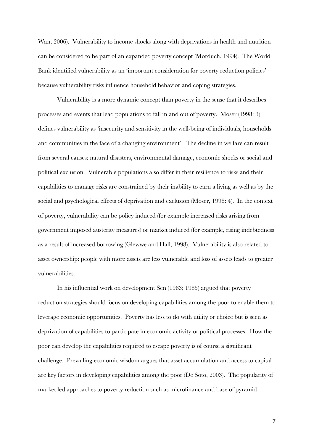Wan, 2006). Vulnerability to income shocks along with deprivations in health and nutrition can be considered to be part of an expanded poverty concept (Morduch, 1994). The World Bank identified vulnerability as an 'important consideration for poverty reduction policies' because vulnerability risks influence household behavior and coping strategies.

Vulnerability is a more dynamic concept than poverty in the sense that it describes processes and events that lead populations to fall in and out of poverty. Moser (1998: 3) defines vulnerability as 'insecurity and sensitivity in the well-being of individuals, households and communities in the face of a changing environment'. The decline in welfare can result from several causes: natural disasters, environmental damage, economic shocks or social and political exclusion. Vulnerable populations also differ in their resilience to risks and their capabilities to manage risks are constrained by their inability to earn a living as well as by the social and psychological effects of deprivation and exclusion (Moser, 1998: 4). In the context of poverty, vulnerability can be policy induced (for example increased risks arising from government imposed austerity measures) or market induced (for example, rising indebtedness as a result of increased borrowing (Glewwe and Hall, 1998). Vulnerability is also related to asset ownership: people with more assets are less vulnerable and loss of assets leads to greater vulnerabilities.

In his influential work on development Sen (1983; 1985) argued that poverty reduction strategies should focus on developing capabilities among the poor to enable them to leverage economic opportunities. Poverty has less to do with utility or choice but is seen as deprivation of capabilities to participate in economic activity or political processes. How the poor can develop the capabilities required to escape poverty is of course a significant challenge. Prevailing economic wisdom argues that asset accumulation and access to capital are key factors in developing capabilities among the poor (De Soto, 2003). The popularity of market led approaches to poverty reduction such as microfinance and base of pyramid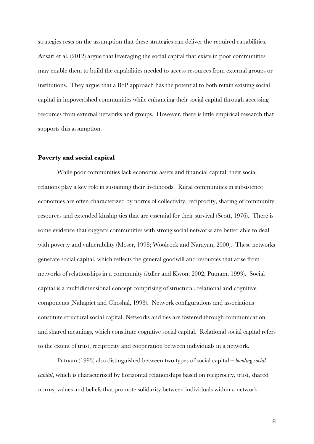strategies rests on the assumption that these strategies can deliver the required capabilities. Ansari et al. (2012) argue that leveraging the social capital that exists in poor communities may enable them to build the capabilities needed to access resources from external groups or institutions. They argue that a BoP approach has the potential to both retain existing social capital in impoverished communities while enhancing their social capital through accessing resources from external networks and groups. However, there is little empirical research that supports this assumption.

#### **Poverty and social capital**

While poor communities lack economic assets and financial capital, their social relations play a key role in sustaining their livelihoods. Rural communities in subsistence economies are often characterized by norms of collectivity, reciprocity, sharing of community resources and extended kinship ties that are essential for their survival (Scott, 1976). There is some evidence that suggests communities with strong social networks are better able to deal with poverty and vulnerability (Moser, 1998; Woolcock and Narayan, 2000). These networks generate social capital, which reflects the general goodwill and resources that arise from networks of relationships in a community (Adler and Kwon, 2002; Putnam, 1993). Social capital is a multidimensional concept comprising of structural, relational and cognitive components (Nahapiet and Ghoshal, 1998). Network configurations and associations constitute structural social capital. Networks and ties are fostered through communication and shared meanings, which constitute cognitive social capital. Relational social capital refers to the extent of trust, reciprocity and cooperation between individuals in a network.

Putnam (1993) also distinguished between two types of social capital – *bonding social capital*, which is characterized by horizontal relationships based on reciprocity, trust, shared norms, values and beliefs that promote solidarity between individuals within a network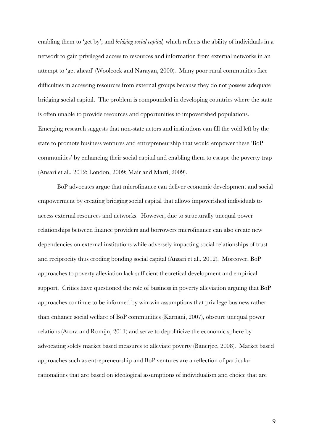enabling them to 'get by'; and *bridging social capital,* which reflects the ability of individuals in a network to gain privileged access to resources and information from external networks in an attempt to 'get ahead' (Woolcock and Narayan, 2000). Many poor rural communities face difficulties in accessing resources from external groups because they do not possess adequate bridging social capital. The problem is compounded in developing countries where the state is often unable to provide resources and opportunities to impoverished populations. Emerging research suggests that non-state actors and institutions can fill the void left by the state to promote business ventures and entrepreneurship that would empower these 'BoP communities' by enhancing their social capital and enabling them to escape the poverty trap (Ansari et al., 2012; London, 2009; Mair and Martí, 2009).

BoP advocates argue that microfinance can deliver economic development and social empowerment by creating bridging social capital that allows impoverished individuals to access external resources and networks. However, due to structurally unequal power relationships between finance providers and borrowers microfinance can also create new dependencies on external institutions while adversely impacting social relationships of trust and reciprocity thus eroding bonding social capital (Ansari et al., 2012). Moreover, BoP approaches to poverty alleviation lack sufficient theoretical development and empirical support. Critics have questioned the role of business in poverty alleviation arguing that BoP approaches continue to be informed by win-win assumptions that privilege business rather than enhance social welfare of BoP communities (Karnani, 2007), obscure unequal power relations (Arora and Romijn, 2011) and serve to depoliticize the economic sphere by advocating solely market based measures to alleviate poverty (Banerjee, 2008). Market based approaches such as entrepreneurship and BoP ventures are a reflection of particular rationalities that are based on ideological assumptions of individualism and choice that are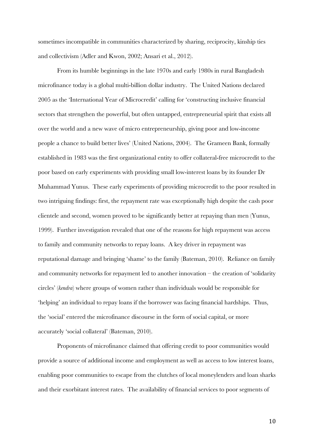sometimes incompatible in communities characterized by sharing, reciprocity, kinship ties and collectivism (Adler and Kwon, 2002; Ansari et al., 2012).

From its humble beginnings in the late 1970s and early 1980s in rural Bangladesh microfinance today is a global multi-billion dollar industry. The United Nations declared 2005 as the 'International Year of Microcredit' calling for 'constructing inclusive financial sectors that strengthen the powerful, but often untapped, entrepreneurial spirit that exists all over the world and a new wave of micro entrepreneurship, giving poor and low-income people a chance to build better lives' (United Nations, 2004). The Grameen Bank, formally established in 1983 was the first organizational entity to offer collateral-free microcredit to the poor based on early experiments with providing small low-interest loans by its founder Dr Muhammad Yunus. These early experiments of providing microcredit to the poor resulted in two intriguing findings: first, the repayment rate was exceptionally high despite the cash poor clientele and second, women proved to be significantly better at repaying than men (Yunus, 1999). Further investigation revealed that one of the reasons for high repayment was access to family and community networks to repay loans. A key driver in repayment was reputational damage and bringing 'shame' to the family (Bateman, 2010). Reliance on family and community networks for repayment led to another innovation – the creation of 'solidarity circles' (*kendra*) where groups of women rather than individuals would be responsible for 'helping' an individual to repay loans if the borrower was facing financial hardships. Thus, the 'social' entered the microfinance discourse in the form of social capital, or more accurately 'social collateral' (Bateman, 2010).

Proponents of microfinance claimed that offering credit to poor communities would provide a source of additional income and employment as well as access to low interest loans, enabling poor communities to escape from the clutches of local moneylenders and loan sharks and their exorbitant interest rates. The availability of financial services to poor segments of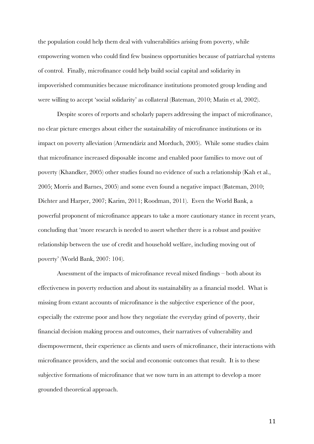the population could help them deal with vulnerabilities arising from poverty, while empowering women who could find few business opportunities because of patriarchal systems of control. Finally, microfinance could help build social capital and solidarity in impoverished communities because microfinance institutions promoted group lending and were willing to accept 'social solidarity' as collateral (Bateman, 2010; Matin et al, 2002).

Despite scores of reports and scholarly papers addressing the impact of microfinance, no clear picture emerges about either the sustainability of microfinance institutions or its impact on poverty alleviation (Armendáriz and Morduch, 2005). While some studies claim that microfinance increased disposable income and enabled poor families to move out of poverty (Khandker, 2005) other studies found no evidence of such a relationship (Kah et al., 2005; Morris and Barnes, 2005) and some even found a negative impact (Bateman, 2010; Dichter and Harper, 2007; Karim, 2011; Roodman, 2011). Even the World Bank, a powerful proponent of microfinance appears to take a more cautionary stance in recent years, concluding that 'more research is needed to assert whether there is a robust and positive relationship between the use of credit and household welfare, including moving out of poverty' (World Bank, 2007: 104).

Assessment of the impacts of microfinance reveal mixed findings – both about its effectiveness in poverty reduction and about its sustainability as a financial model. What is missing from extant accounts of microfinance is the subjective experience of the poor, especially the extreme poor and how they negotiate the everyday grind of poverty, their financial decision making process and outcomes, their narratives of vulnerability and disempowerment, their experience as clients and users of microfinance, their interactions with microfinance providers, and the social and economic outcomes that result. It is to these subjective formations of microfinance that we now turn in an attempt to develop a more grounded theoretical approach.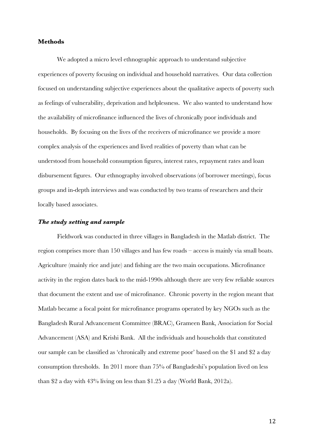#### **Methods**

We adopted a micro level ethnographic approach to understand subjective experiences of poverty focusing on individual and household narratives. Our data collection focused on understanding subjective experiences about the qualitative aspects of poverty such as feelings of vulnerability, deprivation and helplessness. We also wanted to understand how the availability of microfinance influenced the lives of chronically poor individuals and households. By focusing on the lives of the receivers of microfinance we provide a more complex analysis of the experiences and lived realities of poverty than what can be understood from household consumption figures, interest rates, repayment rates and loan disbursement figures. Our ethnography involved observations (of borrower meetings), focus groups and in-depth interviews and was conducted by two teams of researchers and their locally based associates.

### *The study setting and sample*

Fieldwork was conducted in three villages in Bangladesh in the Matlab district. The region comprises more than 150 villages and has few roads – access is mainly via small boats. Agriculture (mainly rice and jute) and fishing are the two main occupations. Microfinance activity in the region dates back to the mid-1990s although there are very few reliable sources that document the extent and use of microfinance. Chronic poverty in the region meant that Matlab became a focal point for microfinance programs operated by key NGOs such as the Bangladesh Rural Advancement Committee (BRAC), Grameen Bank, Association for Social Advancement (ASA) and Krishi Bank. All the individuals and households that constituted our sample can be classified as 'chronically and extreme poor' based on the \$1 and \$2 a day consumption thresholds. In 2011 more than 75% of Bangladeshi's population lived on less than \$2 a day with 43% living on less than \$1.25 a day (World Bank, 2012a).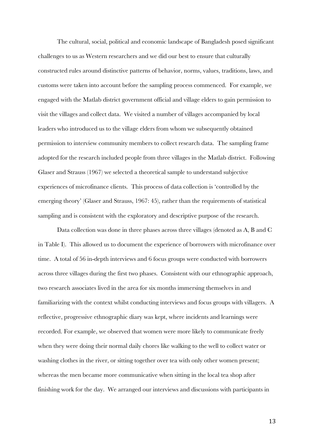The cultural, social, political and economic landscape of Bangladesh posed significant challenges to us as Western researchers and we did our best to ensure that culturally constructed rules around distinctive patterns of behavior, norms, values, traditions, laws, and customs were taken into account before the sampling process commenced. For example, we engaged with the Matlab district government official and village elders to gain permission to visit the villages and collect data. We visited a number of villages accompanied by local leaders who introduced us to the village elders from whom we subsequently obtained permission to interview community members to collect research data. The sampling frame adopted for the research included people from three villages in the Matlab district. Following Glaser and Strauss (1967) we selected a theoretical sample to understand subjective experiences of microfinance clients. This process of data collection is 'controlled by the emerging theory' (Glaser and Strauss, 1967: 45), rather than the requirements of statistical sampling and is consistent with the exploratory and descriptive purpose of the research.

Data collection was done in three phases across three villages (denoted as A, B and C in Table I). This allowed us to document the experience of borrowers with microfinance over time. A total of 56 in-depth interviews and 6 focus groups were conducted with borrowers across three villages during the first two phases. Consistent with our ethnographic approach, two research associates lived in the area for six months immersing themselves in and familiarizing with the context whilst conducting interviews and focus groups with villagers. A reflective, progressive ethnographic diary was kept, where incidents and learnings were recorded. For example, we observed that women were more likely to communicate freely when they were doing their normal daily chores like walking to the well to collect water or washing clothes in the river, or sitting together over tea with only other women present; whereas the men became more communicative when sitting in the local tea shop after finishing work for the day. We arranged our interviews and discussions with participants in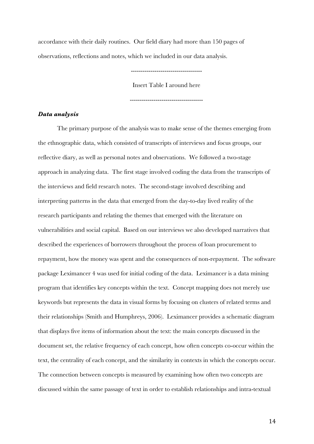accordance with their daily routines. Our field diary had more than 150 pages of observations, reflections and notes, which we included in our data analysis.

Insert Table I around here

 $-$ 

------------------------------------

#### *Data analysis*

The primary purpose of the analysis was to make sense of the themes emerging from the ethnographic data, which consisted of transcripts of interviews and focus groups, our reflective diary, as well as personal notes and observations. We followed a two-stage approach in analyzing data. The first stage involved coding the data from the transcripts of the interviews and field research notes. The second-stage involved describing and interpreting patterns in the data that emerged from the day-to-day lived reality of the research participants and relating the themes that emerged with the literature on vulnerabilities and social capital. Based on our interviews we also developed narratives that described the experiences of borrowers throughout the process of loan procurement to repayment, how the money was spent and the consequences of non-repayment. The software package Leximancer 4 was used for initial coding of the data. Leximancer is a data mining program that identifies key concepts within the text. Concept mapping does not merely use keywords but represents the data in visual forms by focusing on clusters of related terms and their relationships (Smith and Humphreys, 2006). Leximancer provides a schematic diagram that displays five items of information about the text: the main concepts discussed in the document set, the relative frequency of each concept, how often concepts co-occur within the text, the centrality of each concept, and the similarity in contexts in which the concepts occur. The connection between concepts is measured by examining how often two concepts are discussed within the same passage of text in order to establish relationships and intra-textual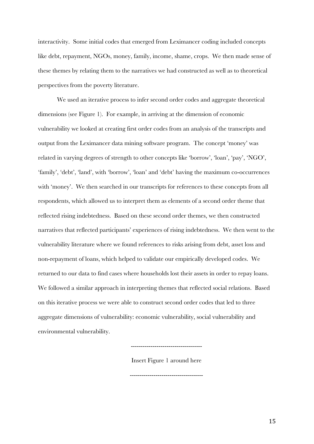interactivity. Some initial codes that emerged from Leximancer coding included concepts like debt, repayment, NGOs, money, family, income, shame, crops. We then made sense of these themes by relating them to the narratives we had constructed as well as to theoretical perspectives from the poverty literature.

We used an iterative process to infer second order codes and aggregate theoretical dimensions (see Figure 1). For example, in arriving at the dimension of economic vulnerability we looked at creating first order codes from an analysis of the transcripts and output from the Leximancer data mining software program. The concept 'money' was related in varying degrees of strength to other concepts like 'borrow', 'loan', 'pay', 'NGO', 'family', 'debt', 'land', with 'borrow', 'loan' and 'debt' having the maximum co-occurrences with 'money'. We then searched in our transcripts for references to these concepts from all respondents, which allowed us to interpret them as elements of a second order theme that reflected rising indebtedness. Based on these second order themes, we then constructed narratives that reflected participants' experiences of rising indebtedness. We then went to the vulnerability literature where we found references to risks arising from debt, asset loss and non-repayment of loans, which helped to validate our empirically developed codes. We returned to our data to find cases where households lost their assets in order to repay loans. We followed a similar approach in interpreting themes that reflected social relations. Based on this iterative process we were able to construct second order codes that led to three aggregate dimensions of vulnerability: economic vulnerability, social vulnerability and environmental vulnerability.

Insert Figure 1 around here

-------------------------------------

------------------------------------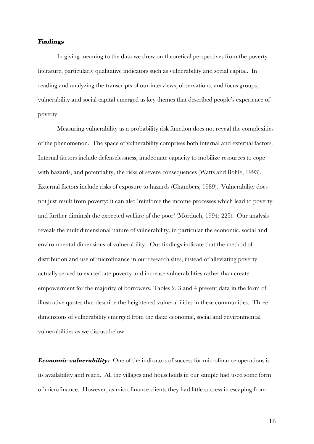#### **Findings**

In giving meaning to the data we drew on theoretical perspectives from the poverty literature, particularly qualitative indicators such as vulnerability and social capital. In reading and analyzing the transcripts of our interviews, observations, and focus groups, vulnerability and social capital emerged as key themes that described people's experience of poverty.

Measuring vulnerability as a probability risk function does not reveal the complexities of the phenomenon. The space of vulnerability comprises both internal and external factors. Internal factors include defenselessness, inadequate capacity to mobilize resources to cope with hazards, and potentiality, the risks of severe consequences (Watts and Bohle, 1993). External factors include risks of exposure to hazards (Chambers, 1989). Vulnerability does not just result from poverty: it can also 'reinforce the income processes which lead to poverty and further diminish the expected welfare of the poor' (Morduch, 1994: 225). Our analysis reveals the multidimensional nature of vulnerability, in particular the economic, social and environmental dimensions of vulnerability. Our findings indicate that the method of distribution and use of microfinance in our research sites, instead of alleviating poverty actually served to exacerbate poverty and increase vulnerabilities rather than create empowerment for the majority of borrowers. Tables 2, 3 and 4 present data in the form of illustrative quotes that describe the heightened vulnerabilities in these communities. Three dimensions of vulnerability emerged from the data: economic, social and environmental vulnerabilities as we discuss below.

*Economic vulnerability:* One of the indicators of success for microfinance operations is its availability and reach. All the villages and households in our sample had used some form of microfinance. However, as microfinance clients they had little success in escaping from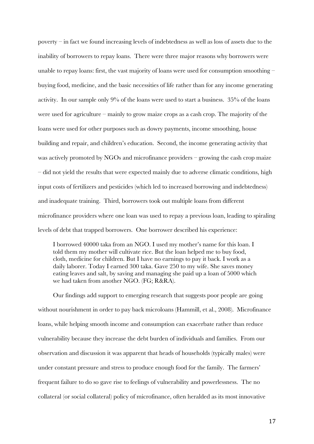poverty – in fact we found increasing levels of indebtedness as well as loss of assets due to the inability of borrowers to repay loans. There were three major reasons why borrowers were unable to repay loans: first, the vast majority of loans were used for consumption smoothing  $$ buying food, medicine, and the basic necessities of life rather than for any income generating activity. In our sample only 9% of the loans were used to start a business. 35% of the loans were used for agriculture – mainly to grow maize crops as a cash crop. The majority of the loans were used for other purposes such as dowry payments, income smoothing, house building and repair, and children's education. Second, the income generating activity that was actively promoted by NGOs and microfinance providers – growing the cash crop maize – did not yield the results that were expected mainly due to adverse climatic conditions, high input costs of fertilizers and pesticides (which led to increased borrowing and indebtedness) and inadequate training. Third, borrowers took out multiple loans from different microfinance providers where one loan was used to repay a previous loan, leading to spiraling levels of debt that trapped borrowers. One borrower described his experience:

I borrowed 40000 taka from an NGO. I used my mother's name for this loan. I told them my mother will cultivate rice. But the loan helped me to buy food, cloth, medicine for children. But I have no earnings to pay it back. I work as a daily laborer. Today I earned 300 taka. Gave 250 to my wife. She saves money eating leaves and salt, by saving and managing she paid up a loan of 5000 which we had taken from another NGO. (FG; R&RA).

Our findings add support to emerging research that suggests poor people are going without nourishment in order to pay back microloans (Hammill, et al., 2008). Microfinance loans, while helping smooth income and consumption can exacerbate rather than reduce vulnerability because they increase the debt burden of individuals and families. From our observation and discussion it was apparent that heads of households (typically males) were under constant pressure and stress to produce enough food for the family. The farmers' frequent failure to do so gave rise to feelings of vulnerability and powerlessness. The no collateral (or social collateral) policy of microfinance, often heralded as its most innovative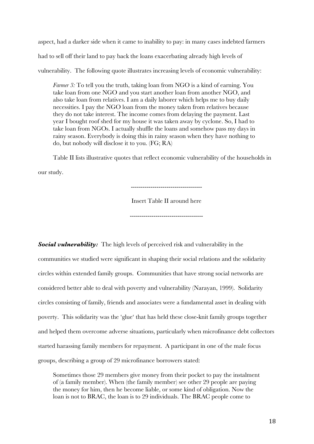aspect, had a darker side when it came to inability to pay: in many cases indebted farmers had to sell off their land to pay back the loans exacerbating already high levels of vulnerability. The following quote illustrates increasing levels of economic vulnerability:

*Farmer 3:* To tell you the truth, taking loan from NGO is a kind of earning. You take loan from one NGO and you start another loan from another NGO, and also take loan from relatives. I am a daily laborer which helps me to buy daily necessities. I pay the NGO loan from the money taken from relatives because they do not take interest. The income comes from delaying the payment. Last year I bought roof shed for my house it was taken away by cyclone. So, I had to take loan from NGOs. I actually shuffle the loans and somehow pass my days in rainy season. Everybody is doing this in rainy season when they have nothing to do, but nobody will disclose it to you. (FG; RA)

Table II lists illustrative quotes that reflect economic vulnerability of the households in our study.

------------------------------------

Insert Table II around here

-------------------------------------

*Social vulnerability:* The high levels of perceived risk and vulnerability in the communities we studied were significant in shaping their social relations and the solidarity circles within extended family groups. Communities that have strong social networks are considered better able to deal with poverty and vulnerability (Narayan, 1999). Solidarity circles consisting of family, friends and associates were a fundamental asset in dealing with poverty. This solidarity was the 'glue' that has held these close-knit family groups together and helped them overcome adverse situations, particularly when microfinance debt collectors started harassing family members for repayment. A participant in one of the male focus groups, describing a group of 29 microfinance borrowers stated:

Sometimes those 29 members give money from their pocket to pay the instalment of (a family member). When (the family member) see other 29 people are paying the money for him, then he become liable, or some kind of obligation. Now the loan is not to BRAC, the loan is to 29 individuals. The BRAC people come to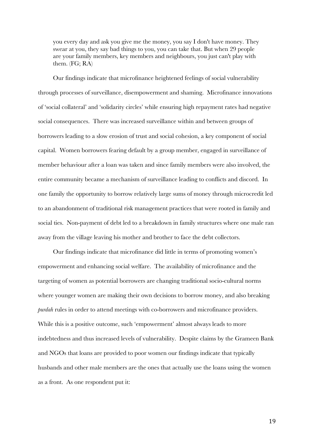you every day and ask you give me the money, you say I don't have money. They swear at you, they say bad things to you, you can take that. But when 29 people are your family members, key members and neighbours, you just can't play with them. (FG; RA)

Our findings indicate that microfinance heightened feelings of social vulnerability through processes of surveillance, disempowerment and shaming. Microfinance innovations of 'social collateral' and 'solidarity circles' while ensuring high repayment rates had negative social consequences. There was increased surveillance within and between groups of borrowers leading to a slow erosion of trust and social cohesion, a key component of social capital. Women borrowers fearing default by a group member, engaged in surveillance of member behaviour after a loan was taken and since family members were also involved, the entire community became a mechanism of surveillance leading to conflicts and discord. In one family the opportunity to borrow relatively large sums of money through microcredit led to an abandonment of traditional risk management practices that were rooted in family and social ties. Non-payment of debt led to a breakdown in family structures where one male ran away from the village leaving his mother and brother to face the debt collectors.

Our findings indicate that microfinance did little in terms of promoting women's empowerment and enhancing social welfare. The availability of microfinance and the targeting of women as potential borrowers are changing traditional socio-cultural norms where younger women are making their own decisions to borrow money, and also breaking *purdah* rules in order to attend meetings with co-borrowers and microfinance providers. While this is a positive outcome, such 'empowerment' almost always leads to more indebtedness and thus increased levels of vulnerability. Despite claims by the Grameen Bank and NGOs that loans are provided to poor women our findings indicate that typically husbands and other male members are the ones that actually use the loans using the women as a front. As one respondent put it: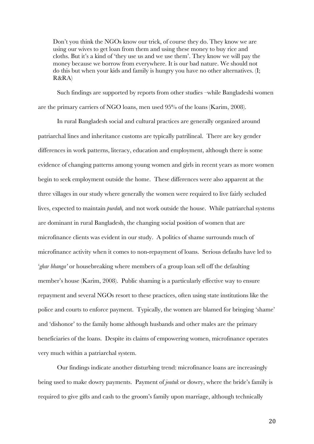Don't you think the NGOs know our trick, of course they do. They know we are using our wives to get loan from them and using these money to buy rice and cloths. But it's a kind of 'they use us and we use them'. They know we will pay the money because we borrow from everywhere. It is our bad nature. We should not do this but when your kids and family is hungry you have no other alternatives. (I; R&RA)

Such findings are supported by reports from other studies –while Bangladeshi women are the primary carriers of NGO loans, men used 95% of the loans (Karim, 2008).

In rural Bangladesh social and cultural practices are generally organized around patriarchal lines and inheritance customs are typically patrilineal. There are key gender differences in work patterns, literacy, education and employment, although there is some evidence of changing patterns among young women and girls in recent years as more women begin to seek employment outside the home. These differences were also apparent at the three villages in our study where generally the women were required to live fairly secluded lives, expected to maintain *purdah,* and not work outside the house. While patriarchal systems are dominant in rural Bangladesh, the changing social position of women that are microfinance clients was evident in our study. A politics of shame surrounds much of microfinance activity when it comes to non-repayment of loans. Serious defaults have led to '*ghar bhanga'* or housebreaking where members of a group loan sell off the defaulting member's house (Karim, 2008). Public shaming is a particularly effective way to ensure repayment and several NGOs resort to these practices, often using state institutions like the police and courts to enforce payment. Typically, the women are blamed for bringing 'shame' and 'dishonor' to the family home although husbands and other males are the primary beneficiaries of the loans. Despite its claims of empowering women, microfinance operates very much within a patriarchal system.

Our findings indicate another disturbing trend: microfinance loans are increasingly being used to make dowry payments. Payment of *joutuk* or dowry, where the bride's family is required to give gifts and cash to the groom's family upon marriage, although technically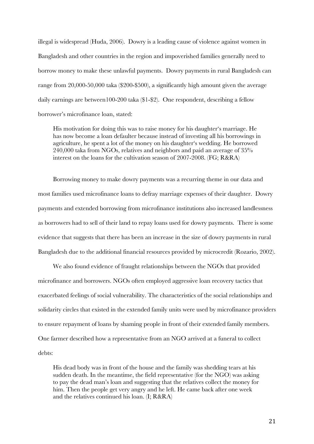illegal is widespread (Huda, 2006). Dowry is a leading cause of violence against women in Bangladesh and other countries in the region and impoverished families generally need to borrow money to make these unlawful payments. Dowry payments in rural Bangladesh can range from 20,000-50,000 taka (\$200-\$500), a significantly high amount given the average daily earnings are between100-200 taka (\$1-\$2). One respondent, describing a fellow borrower's microfinance loan, stated:

His motivation for doing this was to raise money for his daughter's marriage. He has now become a loan defaulter because instead of investing all his borrowings in agriculture, he spent a lot of the money on his daughter's wedding. He borrowed 240,000 taka from NGOs, relatives and neighbors and paid an average of 35% interest on the loans for the cultivation season of 2007-2008. (FG; R&RA)

Borrowing money to make dowry payments was a recurring theme in our data and most families used microfinance loans to defray marriage expenses of their daughter. Dowry payments and extended borrowing from microfinance institutions also increased landlessness as borrowers had to sell of their land to repay loans used for dowry payments. There is some evidence that suggests that there has been an increase in the size of dowry payments in rural Bangladesh due to the additional financial resources provided by microcredit (Rozario, 2002).

We also found evidence of fraught relationships between the NGOs that provided microfinance and borrowers. NGOs often employed aggressive loan recovery tactics that exacerbated feelings of social vulnerability. The characteristics of the social relationships and solidarity circles that existed in the extended family units were used by microfinance providers to ensure repayment of loans by shaming people in front of their extended family members. One farmer described how a representative from an NGO arrived at a funeral to collect debts:

His dead body was in front of the house and the family was shedding tears at his sudden death. In the meantime, the field representative (for the NGO) was asking to pay the dead man's loan and suggesting that the relatives collect the money for him. Then the people get very angry and he left. He came back after one week and the relatives continued his loan. (I; R&RA)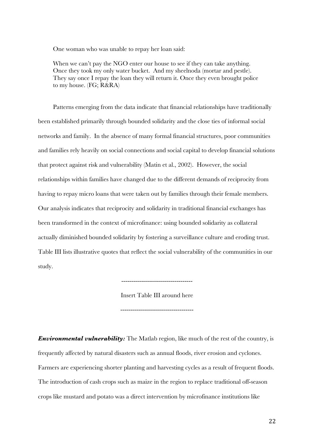One woman who was unable to repay her loan said:

When we can't pay the NGO enter our house to see if they can take anything. Once they took my only water bucket. And my sheelnoda (mortar and pestle). They say once I repay the loan they will return it. Once they even brought police to my house. (FG; R&RA)

Patterns emerging from the data indicate that financial relationships have traditionally been established primarily through bounded solidarity and the close ties of informal social networks and family. In the absence of many formal financial structures, poor communities and families rely heavily on social connections and social capital to develop financial solutions that protect against risk and vulnerability (Matin et al., 2002). However, the social relationships within families have changed due to the different demands of reciprocity from having to repay micro loans that were taken out by families through their female members. Our analysis indicates that reciprocity and solidarity in traditional financial exchanges has been transformed in the context of microfinance: using bounded solidarity as collateral actually diminished bounded solidarity by fostering a surveillance culture and eroding trust. Table III lists illustrative quotes that reflect the social vulnerability of the communities in our study.

------------------------------------

Insert Table III around here

-------------------------------------

**Environmental vulnerability:** The Matlab region, like much of the rest of the country, is frequently affected by natural disasters such as annual floods, river erosion and cyclones. Farmers are experiencing shorter planting and harvesting cycles as a result of frequent floods. The introduction of cash crops such as maize in the region to replace traditional off-season crops like mustard and potato was a direct intervention by microfinance institutions like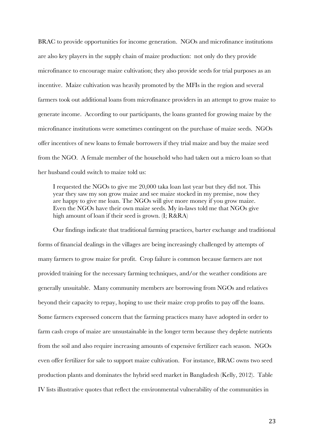BRAC to provide opportunities for income generation. NGOs and microfinance institutions are also key players in the supply chain of maize production: not only do they provide microfinance to encourage maize cultivation; they also provide seeds for trial purposes as an incentive. Maize cultivation was heavily promoted by the MFIs in the region and several farmers took out additional loans from microfinance providers in an attempt to grow maize to generate income. According to our participants, the loans granted for growing maize by the microfinance institutions were sometimes contingent on the purchase of maize seeds. NGOs offer incentives of new loans to female borrowers if they trial maize and buy the maize seed from the NGO. A female member of the household who had taken out a micro loan so that her husband could switch to maize told us:

I requested the NGOs to give me 20,000 taka loan last year but they did not. This year they saw my son grow maize and see maize stocked in my premise, now they are happy to give me loan. The NGOs will give more money if you grow maize. Even the NGOs have their own maize seeds. My in-laws told me that NGOs give high amount of loan if their seed is grown. (I; R&RA)

Our findings indicate that traditional farming practices, barter exchange and traditional forms of financial dealings in the villages are being increasingly challenged by attempts of many farmers to grow maize for profit. Crop failure is common because farmers are not provided training for the necessary farming techniques, and/or the weather conditions are generally unsuitable. Many community members are borrowing from NGOs and relatives beyond their capacity to repay, hoping to use their maize crop profits to pay off the loans. Some farmers expressed concern that the farming practices many have adopted in order to farm cash crops of maize are unsustainable in the longer term because they deplete nutrients from the soil and also require increasing amounts of expensive fertilizer each season. NGOs even offer fertilizer for sale to support maize cultivation. For instance, BRAC owns two seed production plants and dominates the hybrid seed market in Bangladesh (Kelly, 2012). Table IV lists illustrative quotes that reflect the environmental vulnerability of the communities in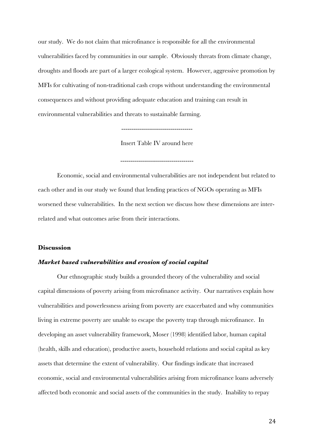our study. We do not claim that microfinance is responsible for all the environmental vulnerabilities faced by communities in our sample. Obviously threats from climate change, droughts and floods are part of a larger ecological system. However, aggressive promotion by MFIs for cultivating of non-traditional cash crops without understanding the environmental consequences and without providing adequate education and training can result in environmental vulnerabilities and threats to sustainable farming.

Insert Table IV around here

------------------------------------

Economic, social and environmental vulnerabilities are not independent but related to each other and in our study we found that lending practices of NGOs operating as MFIs worsened these vulnerabilities. In the next section we discuss how these dimensions are interrelated and what outcomes arise from their interactions.

#### **Discussion**

### *Market based vulnerabilities and erosion of social capital*

Our ethnographic study builds a grounded theory of the vulnerability and social capital dimensions of poverty arising from microfinance activity. Our narratives explain how vulnerabilities and powerlessness arising from poverty are exacerbated and why communities living in extreme poverty are unable to escape the poverty trap through microfinance. In developing an asset vulnerability framework, Moser (1998) identified labor, human capital (health, skills and education), productive assets, household relations and social capital as key assets that determine the extent of vulnerability. Our findings indicate that increased economic, social and environmental vulnerabilities arising from microfinance loans adversely affected both economic and social assets of the communities in the study. Inability to repay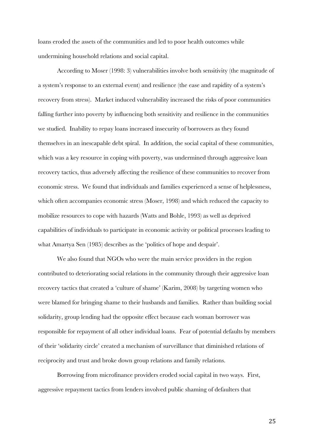loans eroded the assets of the communities and led to poor health outcomes while undermining household relations and social capital.

According to Moser (1998: 3) vulnerabilities involve both sensitivity (the magnitude of a system's response to an external event) and resilience (the ease and rapidity of a system's recovery from stress). Market induced vulnerability increased the risks of poor communities falling further into poverty by influencing both sensitivity and resilience in the communities we studied. Inability to repay loans increased insecurity of borrowers as they found themselves in an inescapable debt spiral. In addition, the social capital of these communities, which was a key resource in coping with poverty, was undermined through aggressive loan recovery tactics, thus adversely affecting the resilience of these communities to recover from economic stress. We found that individuals and families experienced a sense of helplessness, which often accompanies economic stress (Moser, 1998) and which reduced the capacity to mobilize resources to cope with hazards (Watts and Bohle, 1993) as well as deprived capabilities of individuals to participate in economic activity or political processes leading to what Amartya Sen (1985) describes as the 'politics of hope and despair'.

We also found that NGOs who were the main service providers in the region contributed to deteriorating social relations in the community through their aggressive loan recovery tactics that created a 'culture of shame' (Karim, 2008) by targeting women who were blamed for bringing shame to their husbands and families. Rather than building social solidarity, group lending had the opposite effect because each woman borrower was responsible for repayment of all other individual loans. Fear of potential defaults by members of their 'solidarity circle' created a mechanism of surveillance that diminished relations of reciprocity and trust and broke down group relations and family relations.

Borrowing from microfinance providers eroded social capital in two ways. First, aggressive repayment tactics from lenders involved public shaming of defaulters that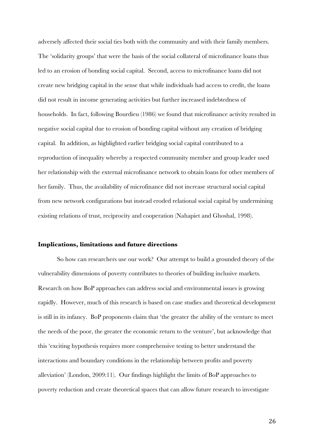adversely affected their social ties both with the community and with their family members. The 'solidarity groups' that were the basis of the social collateral of microfinance loans thus led to an erosion of bonding social capital. Second, access to microfinance loans did not create new bridging capital in the sense that while individuals had access to credit, the loans did not result in income generating activities but further increased indebtedness of households. In fact, following Bourdieu (1986) we found that microfinance activity resulted in negative social capital due to erosion of bonding capital without any creation of bridging capital. In addition, as highlighted earlier bridging social capital contributed to a reproduction of inequality whereby a respected community member and group leader used her relationship with the external microfinance network to obtain loans for other members of her family. Thus, the availability of microfinance did not increase structural social capital from new network configurations but instead eroded relational social capital by undermining existing relations of trust, reciprocity and cooperation (Nahapiet and Ghoshal, 1998).

#### **Implications, limitations and future directions**

So how can researchers use our work? Our attempt to build a grounded theory of the vulnerability dimensions of poverty contributes to theories of building inclusive markets. Research on how BoP approaches can address social and environmental issues is growing rapidly. However, much of this research is based on case studies and theoretical development is still in its infancy. BoP proponents claim that 'the greater the ability of the venture to meet the needs of the poor, the greater the economic return to the venture', but acknowledge that this 'exciting hypothesis requires more comprehensive testing to better understand the interactions and boundary conditions in the relationship between profits and poverty alleviation' (London, 2009:11). Our findings highlight the limits of BoP approaches to poverty reduction and create theoretical spaces that can allow future research to investigate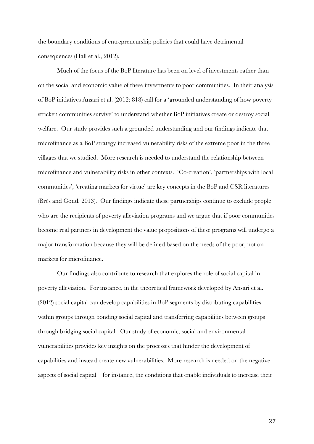the boundary conditions of entrepreneurship policies that could have detrimental consequences (Hall et al., 2012).

Much of the focus of the BoP literature has been on level of investments rather than on the social and economic value of these investments to poor communities. In their analysis of BoP initiatives Ansari et al. (2012: 818) call for a 'grounded understanding of how poverty stricken communities survive' to understand whether BoP initiatives create or destroy social welfare. Our study provides such a grounded understanding and our findings indicate that microfinance as a BoP strategy increased vulnerability risks of the extreme poor in the three villages that we studied. More research is needed to understand the relationship between microfinance and vulnerability risks in other contexts. 'Co-creation', 'partnerships with local communities', 'creating markets for virtue' are key concepts in the BoP and CSR literatures (Brès and Gond, 2013). Our findings indicate these partnerships continue to exclude people who are the recipients of poverty alleviation programs and we argue that if poor communities become real partners in development the value propositions of these programs will undergo a major transformation because they will be defined based on the needs of the poor, not on markets for microfinance.

Our findings also contribute to research that explores the role of social capital in poverty alleviation. For instance, in the theoretical framework developed by Ansari et al. (2012) social capital can develop capabilities in BoP segments by distributing capabilities within groups through bonding social capital and transferring capabilities between groups through bridging social capital. Our study of economic, social and environmental vulnerabilities provides key insights on the processes that hinder the development of capabilities and instead create new vulnerabilities. More research is needed on the negative aspects of social capital – for instance, the conditions that enable individuals to increase their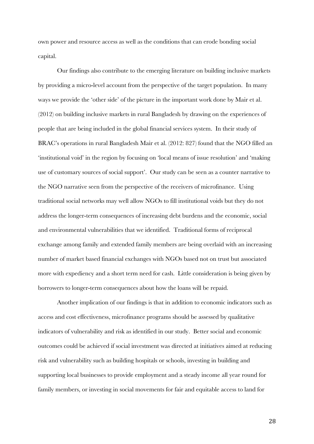own power and resource access as well as the conditions that can erode bonding social capital.

Our findings also contribute to the emerging literature on building inclusive markets by providing a micro-level account from the perspective of the target population. In many ways we provide the 'other side' of the picture in the important work done by Mair et al. (2012) on building inclusive markets in rural Bangladesh by drawing on the experiences of people that are being included in the global financial services system. In their study of BRAC's operations in rural Bangladesh Mair et al. (2012: 827) found that the NGO filled an 'institutional void' in the region by focusing on 'local means of issue resolution' and 'making use of customary sources of social support'. Our study can be seen as a counter narrative to the NGO narrative seen from the perspective of the receivers of microfinance. Using traditional social networks may well allow NGOs to fill institutional voids but they do not address the longer-term consequences of increasing debt burdens and the economic, social and environmental vulnerabilities that we identified. Traditional forms of reciprocal exchange among family and extended family members are being overlaid with an increasing number of market based financial exchanges with NGOs based not on trust but associated more with expediency and a short term need for cash. Little consideration is being given by borrowers to longer-term consequences about how the loans will be repaid.

Another implication of our findings is that in addition to economic indicators such as access and cost effectiveness, microfinance programs should be assessed by qualitative indicators of vulnerability and risk as identified in our study. Better social and economic outcomes could be achieved if social investment was directed at initiatives aimed at reducing risk and vulnerability such as building hospitals or schools, investing in building and supporting local businesses to provide employment and a steady income all year round for family members, or investing in social movements for fair and equitable access to land for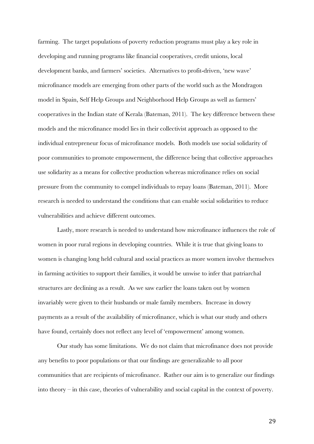farming. The target populations of poverty reduction programs must play a key role in developing and running programs like financial cooperatives, credit unions, local development banks, and farmers' societies. Alternatives to profit-driven, 'new wave' microfinance models are emerging from other parts of the world such as the Mondragon model in Spain, Self Help Groups and Neighborhood Help Groups as well as farmers' cooperatives in the Indian state of Kerala (Bateman, 2011). The key difference between these models and the microfinance model lies in their collectivist approach as opposed to the individual entrepreneur focus of microfinance models. Both models use social solidarity of poor communities to promote empowerment, the difference being that collective approaches use solidarity as a means for collective production whereas microfinance relies on social pressure from the community to compel individuals to repay loans (Bateman, 2011). More research is needed to understand the conditions that can enable social solidarities to reduce vulnerabilities and achieve different outcomes.

Lastly, more research is needed to understand how microfinance influences the role of women in poor rural regions in developing countries. While it is true that giving loans to women is changing long held cultural and social practices as more women involve themselves in farming activities to support their families, it would be unwise to infer that patriarchal structures are declining as a result. As we saw earlier the loans taken out by women invariably were given to their husbands or male family members. Increase in dowry payments as a result of the availability of microfinance, which is what our study and others have found, certainly does not reflect any level of 'empowerment' among women.

Our study has some limitations. We do not claim that microfinance does not provide any benefits to poor populations or that our findings are generalizable to all poor communities that are recipients of microfinance. Rather our aim is to generalize our findings into theory – in this case, theories of vulnerability and social capital in the context of poverty.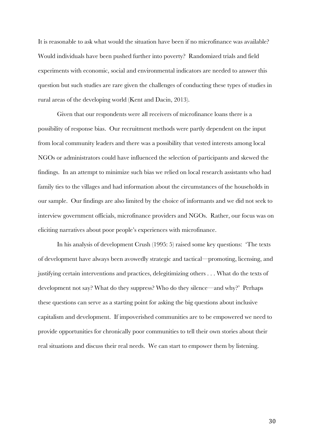It is reasonable to ask what would the situation have been if no microfinance was available? Would individuals have been pushed further into poverty? Randomized trials and field experiments with economic, social and environmental indicators are needed to answer this question but such studies are rare given the challenges of conducting these types of studies in rural areas of the developing world (Kent and Dacin, 2013).

Given that our respondents were all receivers of microfinance loans there is a possibility of response bias. Our recruitment methods were partly dependent on the input from local community leaders and there was a possibility that vested interests among local NGOs or administrators could have influenced the selection of participants and skewed the findings. In an attempt to minimize such bias we relied on local research assistants who had family ties to the villages and had information about the circumstances of the households in our sample. Our findings are also limited by the choice of informants and we did not seek to interview government officials, microfinance providers and NGOs. Rather, our focus was on eliciting narratives about poor people's experiences with microfinance.

In his analysis of development Crush (1995: 5) raised some key questions: 'The texts of development have always been avowedly strategic and tactical—promoting, licensing, and justifying certain interventions and practices, delegitimizing others . . . What do the texts of development not say? What do they suppress? Who do they silence—and why?' Perhaps these questions can serve as a starting point for asking the big questions about inclusive capitalism and development. If impoverished communities are to be empowered we need to provide opportunities for chronically poor communities to tell their own stories about their real situations and discuss their real needs. We can start to empower them by listening.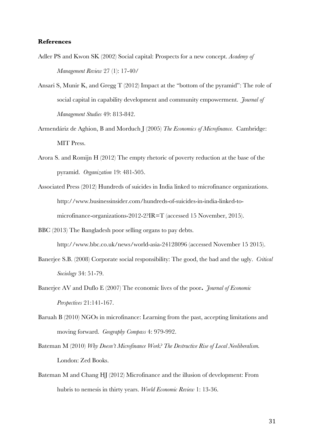#### **References**

- Adler PS and Kwon SK (2002) Social capital: Prospects for a new concept. *Academy of Management Review* 27 (1): 17-40/
- Ansari S, Munir K, and Gregg T (2012) Impact at the "bottom of the pyramid": The role of social capital in capability development and community empowerment. *Journal of Management Studies* 49: 813-842.
- Armendáriz de Aghion, B and Morduch J (2005) *The Economics of Microfinance.* Cambridge: MIT Press.
- Arora S. and Romijn H (2012) The empty rhetoric of poverty reduction at the base of the pyramid. *Organization* 19: 481-505.
- Associated Press (2012) Hundreds of suicides in India linked to microfinance organizations. http://www.businessinsider.com/hundreds-of-suicides-in-india-linked-tomicrofinance-organizations-2012-2?IR=T (accessed 15 November, 2015).
- BBC (2013) The Bangladesh poor selling organs to pay debts.

http://www.bbc.co.uk/news/world-asia-24128096 (accessed November 15 2015).

- Banerjee S.B. (2008) Corporate social responsibility: The good, the bad and the ugly. *Critical Sociology* 34: 51-79.
- Banerjee AV and Duflo E (2007) The economic lives of the poor**.** *Journal of Economic Perspectives* 21:141-167.
- Baruah B (2010) NGOs in microfinance: Learning from the past, accepting limitations and moving forward. *Geography Compass* 4: 979-992.
- Bateman M (2010) *Why Doesn't Microfinance Work? The Destructive Rise of Local Neoliberalism.*  London: Zed Books.
- Bateman M and Chang HJ (2012) Microfinance and the illusion of development: From hubris to nemesis in thirty years. *World Economic Review* 1: 13-36.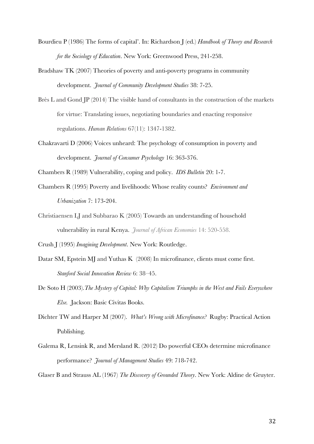- Bourdieu P (1986) The forms of capital'. In: Richardson J (ed.) *Handbook of Theory and Research for the Sociology of Education*. New York: Greenwood Press, 241-258.
- Bradshaw TK (2007) Theories of poverty and anti-poverty programs in community development. *Journal of Community Development Studies* 38: 7-25.
- Brès L and Gond JP (2014) The visible hand of consultants in the construction of the markets for virtue: Translating issues, negotiating boundaries and enacting responsive regulations. *Human Relations* 67(11): 1347-1382.
- Chakravarti D (2006) Voices unheard: The psychology of consumption in poverty and development. *Journal of Consumer Psychology* 16: 363-376.
- Chambers R (1989) Vulnerability, coping and policy. *IDS Bulletin* 20: 1-7.
- Chambers R (1995) Poverty and livelihoods: Whose reality counts? *Environment and Urbanization* 7: 173-204.
- Christiaensen LJ and Subbarao K (2005) Towards an understanding of household vulnerability in rural Kenya. *Journal of African Economies* 14: 520-558.
- Crush J (1995) *Imagining Development*. New York: Routledge.
- Datar SM, Epstein MJ and Yuthas K (2008) In microfinance, clients must come first. *Stanford Social Innovation Review* 6: 38–45.
- De Soto H (2003).*The Mystery of Capital: Why Capitalism Triumphs in the West and Fails Everywhere Else.* Jackson: Basic Civitas Books.
- Dichter TW and Harper M (2007). *What's Wrong with Microfinance?* Rugby: Practical Action Publishing.
- Galema R, Lensink R, and Mersland R. (2012) Do powerful CEOs determine microfinance performance? *Journal of Management Studies* 49: 718-742.

Glaser B and Strauss AL (1967) *The Discovery of Grounded Theory*. New York: Aldine de Gruyter.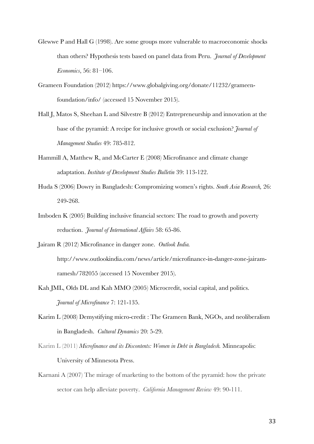- Glewwe P and Hall G (1998). Are some groups more vulnerable to macroeconomic shocks than others? Hypothesis tests based on panel data from Peru. *Journal of Development Economics*, 56: 81–106.
- Grameen Foundation (2012) https://www.globalgiving.org/donate/11232/grameenfoundation/info/ (accessed 15 November 2015).
- Hall J, Matos S, Sheehan L and Silvestre B (2012) Entrepreneurship and innovation at the base of the pyramid: A recipe for inclusive growth or social exclusion? *Journal of Management Studies* 49: 785-812.
- Hammill A, Matthew R, and McCarter E (2008) Microfinance and climate change adaptation. *Institute of Development Studies Bulletin* 39: 113-122.
- Huda S (2006) Dowry in Bangladesh: Compromizing women's rights. *South Asia Research,* 26: 249-268.
- Imboden K (2005) Building inclusive financial sectors: The road to growth and poverty reduction. *Journal of International Affairs* 58: 65-86.
- Jairam R (2012) Microfinance in danger zone. *Outlook India.* http://www.outlookindia.com/news/article/microfinance-in-danger-zone-jairamramesh/782055 (accessed 15 November 2015).
- Kah JML, Olds DL and Kah MMO (2005) Microcredit, social capital, and politics. *Journal of Microfinance* 7: 121-135.
- Karim L (2008) Demystifying micro-credit : The Grameen Bank, NGOs, and neoliberalism in Bangladesh. *Cultural Dynamics* 20: 5-29.
- Karim L (2011) *Microfinance and its Discontents: Women in Debt in Bangladesh.* Minneapolis: University of Minnesota Press.
- Karnani A (2007) The mirage of marketing to the bottom of the pyramid: how the private sector can help alleviate poverty. *California Management Review* 49: 90‐111.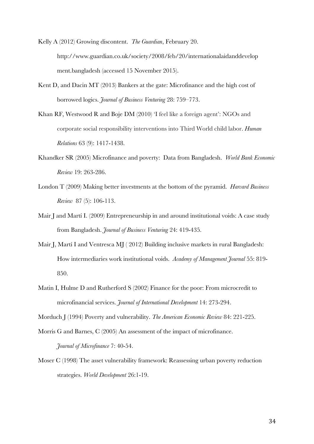Kelly A (2012) Growing discontent. *The Guardian*, February 20. http://www.guardian.co.uk/society/2008/feb/20/internationalaidanddevelop ment.bangladesh (accessed 15 November 2015).

- Kent D, and Dacin MT (2013) Bankers at the gate: Microfinance and the high cost of borrowed logics. *Journal of Business Venturing* 28: 759–773.
- Khan RF, Westwood R and Boje DM (2010) 'I feel like a foreign agent': NGOs and corporate social responsibility interventions into Third World child labor. *Human Relations* 63 (9): 1417-1438.
- Khandker SR (2005) Microfinance and poverty: Data from Bangladesh. *World Bank Economic Review* 19: 263-286.
- London T (2009) Making better investments at the bottom of the pyramid. *Harvard Business Review* 87 (5): 106-113.
- Mair J and Martí I. (2009) Entrepreneurship in and around institutional voids: A case study from Bangladesh. *Journal of Business Venturing* 24: 419-435.
- Mair J, Martí I and Ventresca MJ ( 2012) Building inclusive markets in rural Bangladesh: How intermediaries work institutional voids. *Academy of Management Journal* 55: 819- 850.
- Matin I, Hulme D and Rutherford S (2002) Finance for the poor: From microcredit to microfinancial services. *Journal of International Development* 14: 273-294.

Morduch J (1994) Poverty and vulnerability. *The American Economic Review* 84: 221-225.

- Morris G and Barnes, C (2005) An assessment of the impact of microfinance. *Journal of Microfinance* 7: 40-54.
- Moser C (1998) The asset vulnerability framework: Reassessing urban poverty reduction strategies. *World Development* 26:1-19.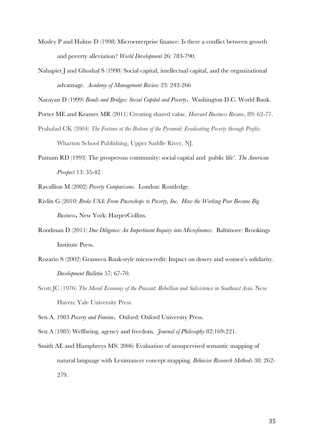- Mosley P and Hulme D (1998) Microenterprise finance: Is there a conflict between growth and poverty alleviation? *World Development* 26: 783-790.
- Nahapiet J and Ghoshal S (1998) Social capital, intellectual capital, and the organizational advantage. *Academy of Management Review* 23: 242-266

Narayan D (1999) *Bonds and Bridges: Social Capital and Poverty.* Washington D.C. World Bank.

Porter ME and Kramer MR (2011) Creating shared value. *Harvard Business Review*, 89: 62-77.

- Prahalad CK (2004) *The Fortune at the Bottom of the Pyramid: Eradicating Poverty through Profits*. Wharton School Publishing, Upper Saddle River, NJ.
- Putnam RD (1993) The prosperous community: social capital and public life'*. The American Prospect* 13: 35-42
- Ravallion M (2002) *Poverty Comparisons.* London: Routledge.
- Rivlin G (2010) *Broke USA: From Pawnshops to Poverty, Inc. How the Working Poor Became Big Business***.** New York: HarperCollins.
- Roodman D (2011) *Due Diligence: An Impertinent Inquiry into Microfinance*. Baltimore: Brookings Institute Press.
- Rozario S (2002) Grameen Bank-style microcredit: Impact on dowry and women's solidarity. *Development Bulletin* 57: 67-70.
- Scott JC (1976) *The Moral Economy of the Peasant: Rebellion and Subsistence in Southeast Asia*. New Haven: Yale University Press.
- Sen A. 1983 *Poverty and Famine.* Oxford: Oxford University Press.
- Sen A (1985) Wellbeing, agency and freedom. *Journal of Philosophy* 82:169-221.
- Smith AE and Humphreys MS( 2006) Evaluation of unsupervised semantic mapping of natural language with Leximancer concept mapping. *Behavior Research Methods* 38: 262- 279.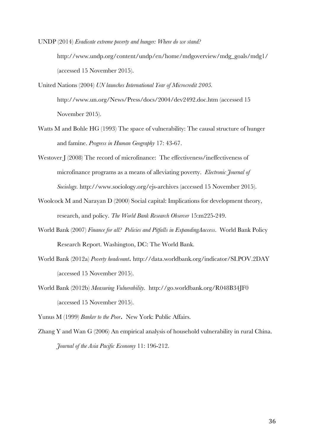UNDP (2014) *Eradicate extreme poverty and hunger: Where do we stand?* http://www.undp.org/content/undp/en/home/mdgoverview/mdg\_goals/mdg1/ (accessed 15 November 2015).

United Nations (2004) *UN launches International Year of Microcredit 2005.* http://www.un.org/News/Press/docs/2004/dev2492.doc.htm (accessed 15 November 2015).

- Watts M and Bohle HG (1993) The space of vulnerability: The causal structure of hunger and famine. *Progress in Human Geography* 17: 43-67.
- Westover J (2008) The record of microfinance: The effectiveness/ineffectiveness of microfinance programs as a means of alleviating poverty. *Electronic Journal of Sociology.* http://www.sociology.org/ejs-archives (accessed 15 November 2015).
- Woolcock M and Narayan D (2000) Social capital: Implications for development theory, research, and policy. *The World Bank Research Observer* 15:m225-249.
- World Bank (2007) *Finance for all? Policies and Pitfalls in ExpandingAaccess*. World Bank Policy Research Report. Washington, DC: The World Bank.
- World Bank (2012a) *Poverty headcount.* http://data.worldbank.org/indicator/SI.POV.2DAY (accessed 15 November 2015).
- World Bank (2012b) *Measuring Vulnerability.* http://go.worldbank.org/R048B34JF0 (accessed 15 November 2015).
- Yunus M (1999) *Banker to the Poor.* New York: Public Affairs.
- Zhang Y and Wan G (2006) An empirical analysis of household vulnerability in rural China. *Journal of the Asia Pacific Economy* 11: 196-212.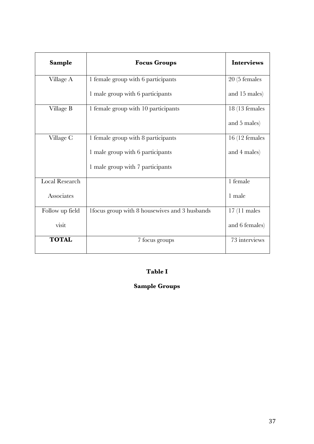| Sample                | <b>Focus Groups</b>                           | <b>Interviews</b> |
|-----------------------|-----------------------------------------------|-------------------|
| Village A             | 1 female group with 6 participants            | $20(5$ females    |
|                       | 1 male group with 6 participants              | and 15 males)     |
| Village B             | 1 female group with 10 participants           | $18(13$ females   |
|                       |                                               | and 5 males)      |
| Village C             | 1 female group with 8 participants            | $16(12$ females   |
|                       | 1 male group with 6 participants              | and 4 males)      |
|                       | 1 male group with 7 participants              |                   |
| <b>Local Research</b> |                                               | 1 female          |
| Associates            |                                               | 1 male            |
| Follow up field       | Ifocus group with 8 housewives and 3 husbands | 17 (11 males      |
| visit                 |                                               | and 6 females)    |
| <b>TOTAL</b>          | 7 focus groups                                | 73 interviews     |

### **Table I**

## **Sample Groups**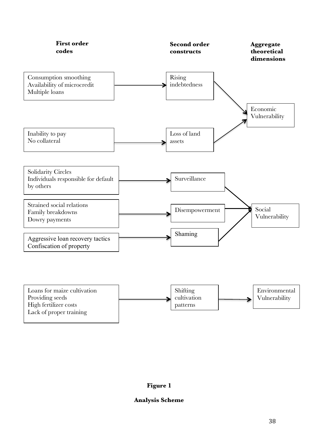

**Figure 1**

**Analysis Scheme**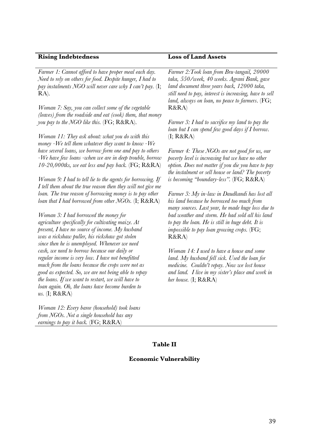### **Rising Indebtedness Loss of Land Assets**

*Farmer 1: Cannot afford to have proper meal each day. Need to rely on others for food. Despite hunger, I had to pay instalments NGO will never care why I can't pay.* (I; RA).

*Woman 7: Say, you can collect some of the vegetable (leaves) from the roadside and eat (cook) them, that money you pay to the NGO like this.* (FG; R&RA).

*Woman 11: They ask about: what you do with this money -We tell them whatever they want to know -We have several loans, we borrow form one and pay to others -We have few loans -when we are in deep trouble, borrow 10-20,000tks, we eat less and pay back.* (FG; R&RA)

*Woman 9: I had to tell lie to the agents for borrowing. If I tell them about the true reason then they will not give me loan. The true reason of borrowing money is to pay other loan that I had borrowed from other NGOs.* (I; R&RA)

*Woman 3: I had borrowed the money for agriculture specifically for cultivating maize. At present, I have no source of income. My husband was a rickshaw puller, his rickshaw got stolen since then he is unemployed. Whenever we need cash, we need to borrow because our daily or regular income is very low. I have not benefitted much from the loans because the crops were not as good as expected. So, we are not being able to repay the loans. If we want to restart, we will have to loan again. Oh, the loans have become burden to us.* (I; R&RA)

*Woman 12: Every baree (household) took loans from NGOs. Not a single household has any earnings to pay it back.* (FG; R&RA)

*Farmer 2:Took loan from Bru-tangail, 20000 taka, 550/week, 40 weeks. Agrani Bank, gave land document three years back, 12000 taka, still need to pay, interest is increasing, have to sell land, always on loan, no peace to farmers*. (FG; R&RA)

*Farmer 3: I had to sacrifice my land to pay the loan but I can spend few good days if I borrow.* (I; R&RA)

*Farmer 4: These NGOs are not good for us, our poverty level is increasing but we have no other option. Does not matter if you die you have to pay the instalment or sell house or land? The poverty is becoming "boundary-less".* (FG; R&RA)

*Farmer 3: My in-law in Daudkandi has lost all his land because he borrowed too much from many sources. Last year, he made huge loss due to bad weather and storm. He had sold all his land to pay the loan. He is still in huge debt. It is impossible to pay loan growing crops.* (FG; R&RA)

*Woman 14: I used to have a house and some land. My husband fell sick. Used the loan for medicine. Couldn't repay. Now we lost house and land. I live in my sister's place and work in her house.* (I; R&RA)

#### **Table II**

#### **Economic Vulnerability**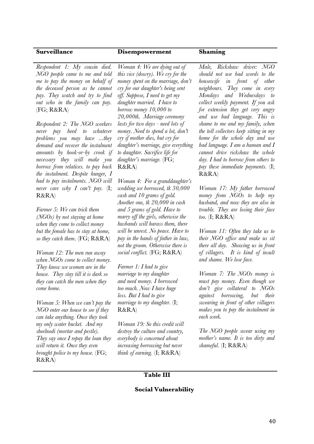#### **Surveillance Disempowerment Shaming**

*Respondent 1: My cousin died. NGO people came to me and told me to pay the money on behalf of the deceased person as he cannot pay. They watch and try to find out who in the family can pay.* (FG; R&RA)

*Respondent 2: The NGO workers never pay heed to whatever problems you may have ...they demand and recover the instalment amounts by hook-or-by crook if necessary they will make you borrow from relatives. to pay back the instalment. Despite hunger, I had to pay instalments. NGO will never care why I can't pay.* (I; R&RA)

*Farmer 5: We can trick them (NGOs) by not staying at home when they come to collect money but the female has to stay at home, so they catch them*. (FG; R&RA)

*Woman 12: The men run away when NGOs come to collect money. They know we women are in the house. They stay till it is dark so they can catch the men when they come home.*

*Woman 5: When we can't pay the NGO enter our house to see if they can take anything. Once they took my only water bucket. And my sheelnodi (mortar and pestle). They say once I repay the loan they will return it. Once they even brought police to my house.* (FG; R&RA)

*Woman 4: We are dying out of this vice (dowry). We cry for the money spent on the marriage, don't cry for our daughter's being sent off. Suppose, I need to get my daughter married. I have to borrow money 10,000 to 20,000tk. Marriage ceremony lasts for two days - need lots of money. Need to spend a lot, don't cry if mother dies, but cry for daughter's marriage, give everything to daughter. Sacrifice life for daughter's marriage.* (FG; R&RA)

*Woman 4: For a granddaughter's wedding we borrowed, tk 30,000 cash and 10 grams of gold. Another one, tk 20,000 in cash and 5 grams of gold. Have to marry off the girls, otherwise the husbands will harass them, there will be unrest. No peace. Have to pay in the hands of father in law, not the groom. Otherwise there is social conflict.* (FG; R&RA)

*Farmer 1: I had to give marriage to my daughter and need money. I borrowed too much. Now I have huge loss. But I had to give marriage to my daughter.* (I; R&RA)

*Woman 19: So this credit will destroy the culture and country, everybody is concerned about increasing borrowing but never think of earning.* (I; R&RA)

*Male, Rickshaw driver: NGO should not use bad words to the housewife in front of other neighbours. They come in every Mondays and Wednesdays to collect weekly payment. If you ask for extension they get very angry and use bad language. This is shame to me and my family, when the toll collectors keep sitting in my home for the whole day and use bad language. I am a human and I cannot drive rickshaw the whole day. I had to borrow from others to pay these immediate payments.* (I; R&RA)

*Woman 17: My father borrowed money from NGOs to help my husband, and now they are also in trouble. They are losing their face too.* (I; R&RA)

*Woman 11: Often they take us to their NGO office and make us sit there all day. Showing us in front of villagers. It is kind of insult and shame. We lose face.*

*Woman 7: The NGOs money is must pay money. Even though we don't give collateral to NGOs against borrowing, but their swearing in front of other villagers makes you to pay the instalment in each week.*

*The NGO people swear using my mother's name. It is too dirty and shameful.* (I; R&RA)

### **Table III**

#### **Social Vulnerability**